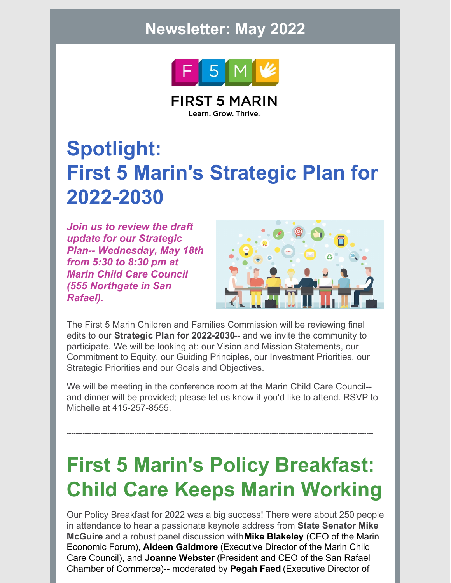### **Newsletter: May 2022**



**FIRST 5 MARIN** Learn. Grow. Thrive.

# **Spotlight: First 5 Marin's Strategic Plan for 2022-2030**

*Join us to review the draft update for our Strategic Plan-- Wednesday, May 18th from 5:30 to 8:30 pm at Marin Child Care Council (555 Northgate in San Rafael).*



The First 5 Marin Children and Families Commission will be reviewing final edits to our **Strategic Plan for 2022-2030**-- and we invite the community to participate. We will be looking at: our Vision and Mission Statements, our Commitment to Equity, our Guiding Principles, our Investment Priorities, our Strategic Priorities and our Goals and Objectives.

We will be meeting in the conference room at the Marin Child Care Council- and dinner will be provided; please let us know if you'd like to attend. RSVP to Michelle at 415-257-8555.

----------------------------------------------------------------------------------------------------------------------------------------

# **First 5 Marin's Policy Breakfast: Child Care Keeps Marin Working**

Our Policy Breakfast for 2022 was a big success! There were about 250 people in attendance to hear a passionate keynote address from **State Senator Mike McGuire** and a robust panel discussion with**Mike Blakeley** (CEO of the Marin Economic Forum), **Aideen Gaidmore** (Executive Director of the Marin Child Care Council), and **Joanne Webster** (President and CEO of the San Rafael Chamber of Commerce)-- moderated by **Pegah Faed** (Executive Director of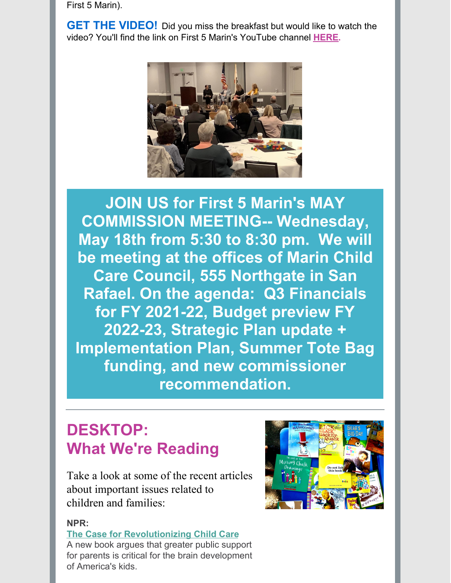First 5 Marin).

**GET THE VIDEO!** Did you miss the breakfast but would like to watch the video? You'll find the link on First 5 Marin's YouTube channel **[HERE](https://www.youtube.com/watch?v=-5huLmjYT2I).**



**JOIN US for First 5 Marin's MAY COMMISSION MEETING-- Wednesday, May 18th from 5:30 to 8:30 pm. We will be meeting at the offices of Marin Child Care Council, 555 Northgate in San Rafael. On the agenda: Q3 Financials for FY 2021-22, Budget preview FY 2022-23, Strategic Plan update + Implementation Plan, Summer Tote Bag funding, and new commissioner [recommendation.](mailto:Michelle@First5Marin.org)**

## **DESKTOP: What We're Reading**

Take a look at some of the recent articles about important issues related to children and families:

#### **NPR:**

**The Case for [Revolutionizing](https://www.npr.org/sections/money/2022/05/17/1098524454/the-case-for-revolutionizing-child-care-in-america) Child Care**

A new book argues that greater public support for parents is critical for the brain development of America's kids.

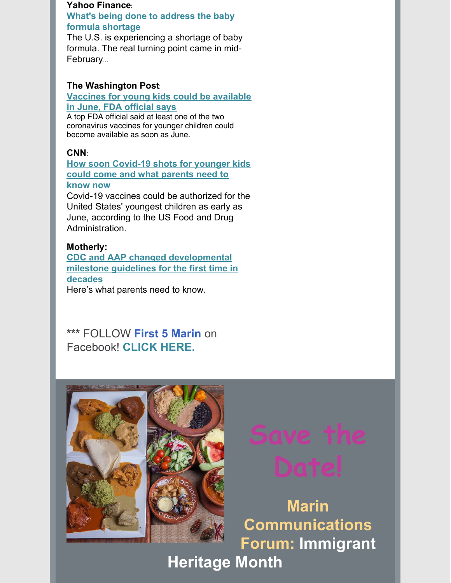#### **Yahoo [Finance](https://finance.yahoo.com/news/baby-formula-shortage-prompts-house-to-address-ongoing-crisis-204501648.html):**

**What's being done to address the baby formula [shortage](https://finance.yahoo.com/news/baby-formula-shortage-prompts-house-to-address-ongoing-crisis-204501648.html)**

The U.S. is [experiencing](https://finance.yahoo.com/news/baby-formula-shortage-prompts-house-to-address-ongoing-crisis-204501648.html) a shortage of baby formula. The real turning point came in mid-February...

#### **The [Washington](https://www.washingtonpost.com/health/2022/04/29/covid-shots-children-under-5/) Post**:

#### **[Vaccines](https://www.washingtonpost.com/health/2022/04/29/covid-shots-children-under-5/) for young kids could be available in June, FDA official says**

A top FDA official said at least one of the two [coronavirus](https://www.washingtonpost.com/health/2022/04/29/covid-shots-children-under-5/) vaccines for younger children could become available as soon as June.

### **[CNN](https://www.cnn.com/2022/04/29/health/covid-vaccine-kids-under-5-timeline/index.html)**:

**How soon [Covid-19](https://www.cnn.com/2022/04/29/health/covid-vaccine-kids-under-5-timeline/index.html) shots for younger kids could come and what parents need to know now**

Covid-19 vaccines could be [authorized](https://www.cnn.com/2022/04/29/health/covid-vaccine-kids-under-5-timeline/index.html) for the United States' youngest children as early as June, according to the US Food and Drug Administration.

#### **Motherly:**

**CDC and AAP changed [developmental](https://www.mother.ly/health-wellness/cdc-aap-developmental-milestones/) milestone guidelines for the first time in decades**

Here's what parents need to know.

**\*\*\*** FOLLOW **First 5 Marin** on Facebook! **[CLICK](https://www.facebook.com/First5Marin) HERE.**



**Marin Communications Forum: Immigrant**

**Heritage Month**